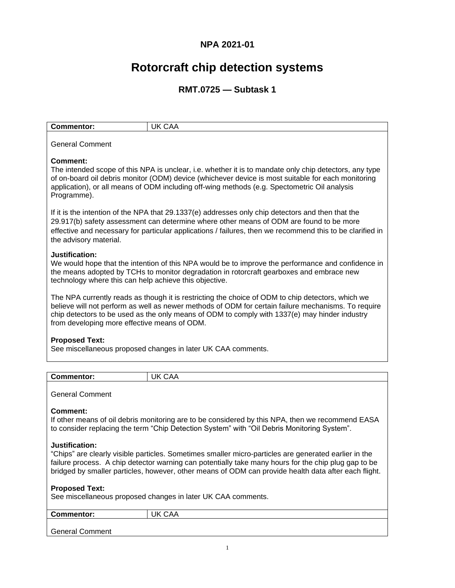## **NPA 2021-01**

# **Rotorcraft chip detection systems**

## **RMT.0725 — Subtask 1**

| <b>Commentor:</b> | IK           |
|-------------------|--------------|
| ັ                 | $\mathbf{r}$ |
| ____<br>$\sim$    |              |

# General Comment

## **Comment:**

The intended scope of this NPA is unclear, i.e. whether it is to mandate only chip detectors, any type of on-board oil debris monitor (ODM) device (whichever device is most suitable for each monitoring application), or all means of ODM including off-wing methods (e.g. Spectometric Oil analysis Programme).

If it is the intention of the NPA that 29.1337(e) addresses only chip detectors and then that the 29.917(b) safety assessment can determine where other means of ODM are found to be more effective and necessary for particular applications / failures, then we recommend this to be clarified in the advisory material.

## **Justification:**

We would hope that the intention of this NPA would be to improve the performance and confidence in the means adopted by TCHs to monitor degradation in rotorcraft gearboxes and embrace new technology where this can help achieve this objective.

The NPA currently reads as though it is restricting the choice of ODM to chip detectors, which we believe will not perform as well as newer methods of ODM for certain failure mechanisms. To require chip detectors to be used as the only means of ODM to comply with 1337(e) may hinder industry from developing more effective means of ODM.

## **Proposed Text:**

See miscellaneous proposed changes in later UK CAA comments.

| <b>Comme</b><br>.<br>: וטו | ١k<br>$\mathbf{v}$<br>-<br>v |
|----------------------------|------------------------------|
|                            |                              |

General Comment

## **Comment:**

If other means of oil debris monitoring are to be considered by this NPA, then we recommend EASA to consider replacing the term "Chip Detection System" with "Oil Debris Monitoring System".

## **Justification:**

"Chips" are clearly visible particles. Sometimes smaller micro-particles are generated earlier in the failure process. A chip detector warning can potentially take many hours for the chip plug gap to be bridged by smaller particles, however, other means of ODM can provide health data after each flight.

## **Proposed Text:**

See miscellaneous proposed changes in later UK CAA comments.

| <b>Commentor:</b>      | <b>JK CAA</b> |
|------------------------|---------------|
|                        |               |
|                        |               |
| <b>General Comment</b> |               |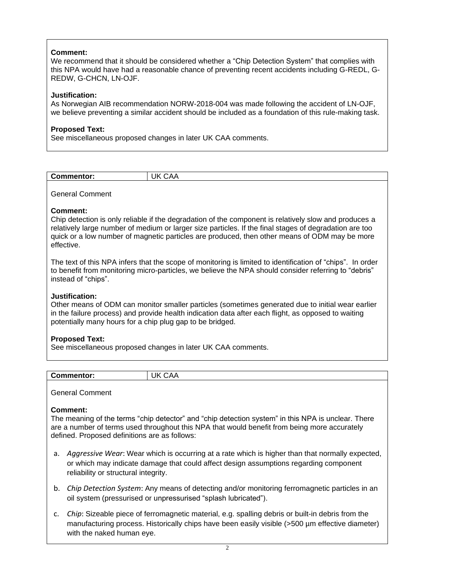## **Comment:**

We recommend that it should be considered whether a "Chip Detection System" that complies with this NPA would have had a reasonable chance of preventing recent accidents including G-REDL, G-REDW, G-CHCN, LN-OJF.

## **Justification:**

As Norwegian AIB recommendation NORW-2018-004 was made following the accident of LN-OJF, we believe preventing a similar accident should be included as a foundation of this rule-making task.

## **Proposed Text:**

See miscellaneous proposed changes in later UK CAA comments.

| Ιk<br>Commentor:<br>$\mathbf{v}$<br>.<br>$\cup$ |  |
|-------------------------------------------------|--|
|                                                 |  |

General Comment

## **Comment:**

Chip detection is only reliable if the degradation of the component is relatively slow and produces a relatively large number of medium or larger size particles. If the final stages of degradation are too quick or a low number of magnetic particles are produced, then other means of ODM may be more effective.

The text of this NPA infers that the scope of monitoring is limited to identification of "chips". In order to benefit from monitoring micro-particles, we believe the NPA should consider referring to "debris" instead of "chips".

## **Justification:**

Other means of ODM can monitor smaller particles (sometimes generated due to initial wear earlier in the failure process) and provide health indication data after each flight, as opposed to waiting potentially many hours for a chip plug gap to be bridged.

## **Proposed Text:**

See miscellaneous proposed changes in later UK CAA comments.

| <b>Commentor:</b> | .<br>. .<br>$\mathbf{v}$ |
|-------------------|--------------------------|
|                   |                          |

General Comment

## **Comment:**

The meaning of the terms "chip detector" and "chip detection system" in this NPA is unclear. There are a number of terms used throughout this NPA that would benefit from being more accurately defined. Proposed definitions are as follows:

- a. *Aggressive Wear*: Wear which is occurring at a rate which is higher than that normally expected, or which may indicate damage that could affect design assumptions regarding component reliability or structural integrity.
- b. *Chip Detection System*: Any means of detecting and/or monitoring ferromagnetic particles in an oil system (pressurised or unpressurised "splash lubricated").
- c. *Chip*: Sizeable piece of ferromagnetic material, e.g. spalling debris or built-in debris from the manufacturing process. Historically chips have been easily visible (>500 µm effective diameter) with the naked human eye.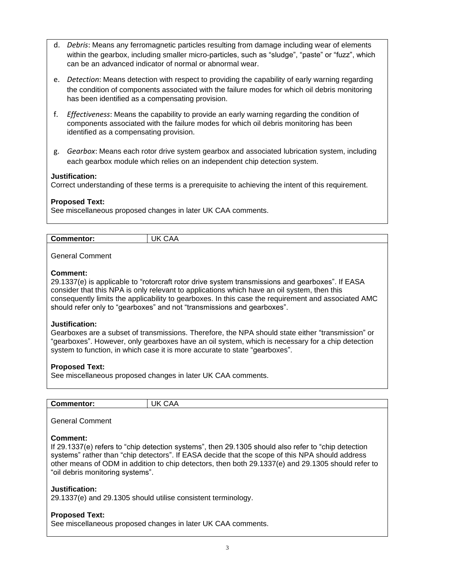- d. *Debris*: Means any ferromagnetic particles resulting from damage including wear of elements within the gearbox, including smaller micro-particles, such as "sludge", "paste" or "fuzz", which can be an advanced indicator of normal or abnormal wear.
- e. *Detection*: Means detection with respect to providing the capability of early warning regarding the condition of components associated with the failure modes for which oil debris monitoring has been identified as a compensating provision.
- f. *Effectiveness*: Means the capability to provide an early warning regarding the condition of components associated with the failure modes for which oil debris monitoring has been identified as a compensating provision.
- g. *Gearbox*: Means each rotor drive system gearbox and associated lubrication system, including each gearbox module which relies on an independent chip detection system.

## **Justification:**

Correct understanding of these terms is a prerequisite to achieving the intent of this requirement.

## **Proposed Text:**

See miscellaneous proposed changes in later UK CAA comments.

| ١K<br>Commentor:<br>$\mathbf{r}$<br>,, ,, ,<br>______ |  |
|-------------------------------------------------------|--|

General Comment

#### **Comment:**

29.1337(e) is applicable to "rotorcraft rotor drive system transmissions and gearboxes". If EASA consider that this NPA is only relevant to applications which have an oil system, then this consequently limits the applicability to gearboxes. In this case the requirement and associated AMC should refer only to "gearboxes" and not "transmissions and gearboxes".

#### **Justification:**

Gearboxes are a subset of transmissions. Therefore, the NPA should state either "transmission" or "gearboxes". However, only gearboxes have an oil system, which is necessary for a chip detection system to function, in which case it is more accurate to state "gearboxes".

#### **Proposed Text:**

See miscellaneous proposed changes in later UK CAA comments.

| <b>Commentor:</b> | Ιk<br>$\Lambda$ .<br>.<br>v |
|-------------------|-----------------------------|
|                   |                             |

General Comment

## **Comment:**

If 29.1337(e) refers to "chip detection systems", then 29.1305 should also refer to "chip detection systems" rather than "chip detectors". If EASA decide that the scope of this NPA should address other means of ODM in addition to chip detectors, then both 29.1337(e) and 29.1305 should refer to "oil debris monitoring systems".

#### **Justification:**

29.1337(e) and 29.1305 should utilise consistent terminology.

#### **Proposed Text:**

See miscellaneous proposed changes in later UK CAA comments.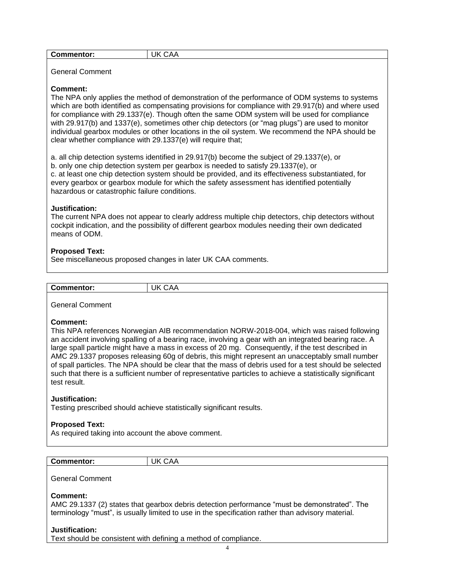| <b>Commentor:</b><br>______ | JK<br>-<br>$\mathbf{v}$<br>UAA |
|-----------------------------|--------------------------------|
|                             |                                |

General Comment

## **Comment:**

The NPA only applies the method of demonstration of the performance of ODM systems to systems which are both identified as compensating provisions for compliance with 29.917(b) and where used for compliance with 29.1337(e). Though often the same ODM system will be used for compliance with 29.917(b) and 1337(e), sometimes other chip detectors (or "mag plugs") are used to monitor individual gearbox modules or other locations in the oil system. We recommend the NPA should be clear whether compliance with 29.1337(e) will require that;

a. all chip detection systems identified in 29.917(b) become the subject of 29.1337(e), or b. only one chip detection system per gearbox is needed to satisfy 29.1337(e), or c. at least one chip detection system should be provided, and its effectiveness substantiated, for every gearbox or gearbox module for which the safety assessment has identified potentially hazardous or catastrophic failure conditions.

## **Justification:**

The current NPA does not appear to clearly address multiple chip detectors, chip detectors without cockpit indication, and the possibility of different gearbox modules needing their own dedicated means of ODM.

## **Proposed Text:**

See miscellaneous proposed changes in later UK CAA comments.

| Commentor: | Ιk<br>$\mathbf{v}$<br>_<br>◡◠◠ |
|------------|--------------------------------|

#### General Comment

#### **Comment:**

This NPA references Norwegian AIB recommendation NORW-2018-004, which was raised following an accident involving spalling of a bearing race, involving a gear with an integrated bearing race. A large spall particle might have a mass in excess of 20 mg. Consequently, if the test described in AMC 29.1337 proposes releasing 60g of debris, this might represent an unacceptably small number of spall particles. The NPA should be clear that the mass of debris used for a test should be selected such that there is a sufficient number of representative particles to achieve a statistically significant test result.

#### **Justification:**

Testing prescribed should achieve statistically significant results.

## **Proposed Text:**

As required taking into account the above comment.

| -<br>.<br>οн<br>- 11<br>- | $\mathbf{r}$ |
|---------------------------|--------------|
|                           |              |

General Comment

#### **Comment:**

AMC 29.1337 (2) states that gearbox debris detection performance "must be demonstrated". The terminology "must", is usually limited to use in the specification rather than advisory material.

## **Justification:**

Text should be consistent with defining a method of compliance.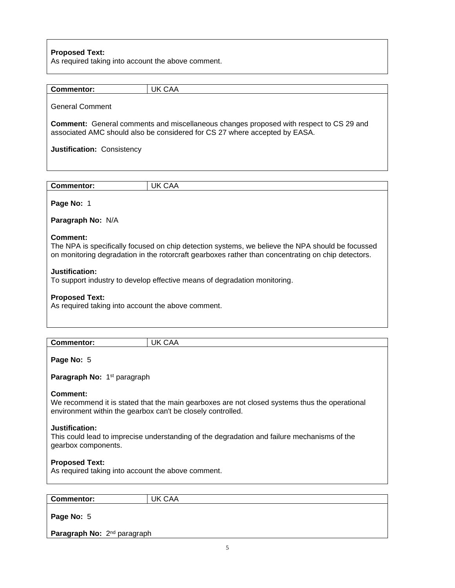## **Proposed Text:**

As required taking into account the above comment.

| <b>Commentor:</b>                                                                                                                                                               | <b>UK CAA</b>                                                                                                                                                                                          |  |
|---------------------------------------------------------------------------------------------------------------------------------------------------------------------------------|--------------------------------------------------------------------------------------------------------------------------------------------------------------------------------------------------------|--|
| <b>General Comment</b>                                                                                                                                                          |                                                                                                                                                                                                        |  |
| <b>Comment:</b> General comments and miscellaneous changes proposed with respect to CS 29 and<br>associated AMC should also be considered for CS 27 where accepted by EASA.     |                                                                                                                                                                                                        |  |
| Justification: Consistency                                                                                                                                                      |                                                                                                                                                                                                        |  |
|                                                                                                                                                                                 |                                                                                                                                                                                                        |  |
|                                                                                                                                                                                 |                                                                                                                                                                                                        |  |
| <b>Commentor:</b>                                                                                                                                                               | <b>UK CAA</b>                                                                                                                                                                                          |  |
| Page No: 1                                                                                                                                                                      |                                                                                                                                                                                                        |  |
| Paragraph No: N/A                                                                                                                                                               |                                                                                                                                                                                                        |  |
| Comment:                                                                                                                                                                        | The NPA is specifically focused on chip detection systems, we believe the NPA should be focussed<br>on monitoring degradation in the rotorcraft gearboxes rather than concentrating on chip detectors. |  |
| Justification:                                                                                                                                                                  | To support industry to develop effective means of degradation monitoring.                                                                                                                              |  |
| <b>Proposed Text:</b><br>As required taking into account the above comment.                                                                                                     |                                                                                                                                                                                                        |  |
|                                                                                                                                                                                 |                                                                                                                                                                                                        |  |
| <b>Commentor:</b>                                                                                                                                                               | <b>UK CAA</b>                                                                                                                                                                                          |  |
| Page No: 5                                                                                                                                                                      |                                                                                                                                                                                                        |  |
| Paragraph No: 1 <sup>st</sup> paragraph                                                                                                                                         |                                                                                                                                                                                                        |  |
| <b>Comment:</b><br>We recommend it is stated that the main gearboxes are not closed systems thus the operational<br>environment within the gearbox can't be closely controlled. |                                                                                                                                                                                                        |  |
| Justification:<br>This could lead to imprecise understanding of the degradation and failure mechanisms of the<br>gearbox components.                                            |                                                                                                                                                                                                        |  |
| <b>Proposed Text:</b><br>As required taking into account the above comment.                                                                                                     |                                                                                                                                                                                                        |  |
|                                                                                                                                                                                 |                                                                                                                                                                                                        |  |
| <b>Commentor:</b>                                                                                                                                                               | <b>UK CAA</b>                                                                                                                                                                                          |  |
| Page No: 5                                                                                                                                                                      |                                                                                                                                                                                                        |  |

Paragraph No: 2<sup>nd</sup> paragraph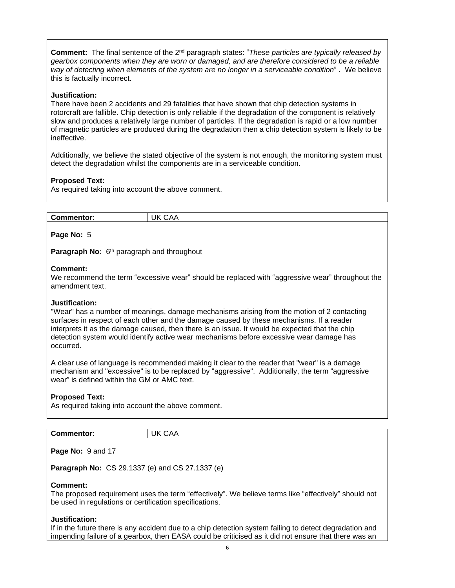**Comment:** The final sentence of the 2nd paragraph states: "*These particles are typically released by gearbox components when they are worn or damaged, and are therefore considered to be a reliable way of detecting when elements of the system are no longer in a serviceable condition*" . We believe this is factually incorrect.

## **Justification:**

There have been 2 accidents and 29 fatalities that have shown that chip detection systems in rotorcraft are fallible. Chip detection is only reliable if the degradation of the component is relatively slow and produces a relatively large number of particles. If the degradation is rapid or a low number of magnetic particles are produced during the degradation then a chip detection system is likely to be ineffective.

Additionally, we believe the stated objective of the system is not enough, the monitoring system must detect the degradation whilst the components are in a serviceable condition.

## **Proposed Text:**

As required taking into account the above comment.

| <b>Commentor:</b> | Jk<br>$\lambda$<br><b>CAA</b><br>. . |
|-------------------|--------------------------------------|

## **Page No:** 5

Paragraph No: 6<sup>th</sup> paragraph and throughout

#### **Comment:**

We recommend the term "excessive wear" should be replaced with "aggressive wear" throughout the amendment text.

#### **Justification:**

"Wear" has a number of meanings, damage mechanisms arising from the motion of 2 contacting surfaces in respect of each other and the damage caused by these mechanisms. If a reader interprets it as the damage caused, then there is an issue. It would be expected that the chip detection system would identify active wear mechanisms before excessive wear damage has occurred.

A clear use of language is recommended making it clear to the reader that "wear" is a damage mechanism and "excessive" is to be replaced by "aggressive". Additionally, the term "aggressive wear" is defined within the GM or AMC text.

#### **Proposed Text:**

As required taking into account the above comment.

| {<br>. .<br>. .<br>$\tilde{~}$<br>. <b>.</b> | v |
|----------------------------------------------|---|
|                                              |   |

**Page No:** 9 and 17

**Paragraph No:** CS 29.1337 (e) and CS 27.1337 (e)

#### **Comment:**

The proposed requirement uses the term "effectively". We believe terms like "effectively" should not be used in regulations or certification specifications.

#### **Justification:**

If in the future there is any accident due to a chip detection system failing to detect degradation and impending failure of a gearbox, then EASA could be criticised as it did not ensure that there was an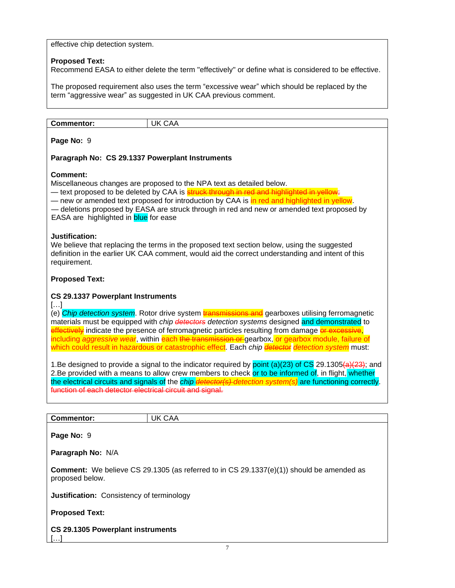effective chip detection system.

## **Proposed Text:**

Recommend EASA to either delete the term "effectively" or define what is considered to be effective.

The proposed requirement also uses the term "excessive wear" which should be replaced by the term "aggressive wear" as suggested in UK CAA previous comment.

| <b>Commentor:</b> | $\mathbf{v}$<br>ш |
|-------------------|-------------------|
|-------------------|-------------------|

## **Page No:** 9

## **Paragraph No: CS 29.1337 Powerplant Instruments**

## **Comment:**

Miscellaneous changes are proposed to the NPA text as detailed below.

— text proposed to be deleted by CAA is <mark>struck through in red and highlighted in yellow</mark>;

— new or amended text proposed for introduction by CAA is in red and highlighted in yellow.

— deletions proposed by EASA are struck through in red and new or amended text proposed by EASA are highlighted in **blue** for ease

## **Justification:**

We believe that replacing the terms in the proposed text section below, using the suggested definition in the earlier UK CAA comment, would aid the correct understanding and intent of this requirement.

## **Proposed Text:**

## **CS 29.1337 Powerplant Instruments**

 $[\ldots]$ 

(e) *Chip detection system*. Rotor drive system transmissions and gearboxes utilising ferromagnetic materials must be equipped with *chip detectors detection systems* designed and demonstrated to effectively indicate the presence of ferromagnetic particles resulting from damage or excessive, including *aggressive wear*, within each the transmission or gearbox, or gearbox module, failure of which could result in hazardous or catastrophic effect. Each *chip detector detection system* must:

1.Be designed to provide a signal to the indicator required by point (a)(23) of CS 29.1305(a)(23); and 2.Be provided with a means to allow crew members to check or to be informed of, in flight, whether the electrical circuits and signals of the *chip detector(s) detection system(s)* are functioning correctly. function of each detector electrical circuit and signal.

| Con<br>nentor:<br>$\sim$ ------- | Ιk<br>$\mathbf{v}$ |
|----------------------------------|--------------------|
|                                  |                    |

**Page No:** 9

**Paragraph No:** N/A

**Comment:** We believe CS 29.1305 (as referred to in CS 29.1337(e)(1)) should be amended as proposed below.

**Justification:** Consistency of terminology

## **Proposed Text:**

**CS 29.1305 Powerplant instruments** […]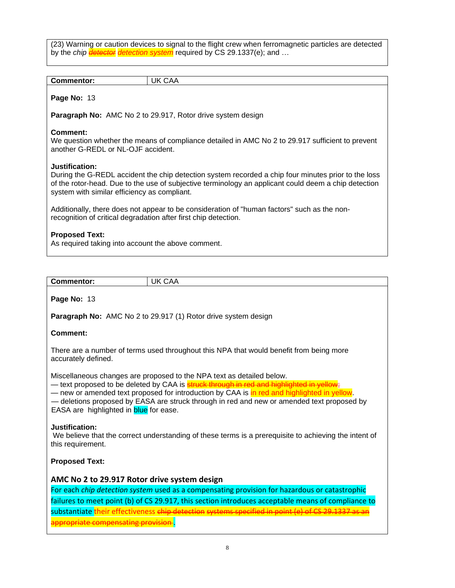(23) Warning or caution devices to signal to the flight crew when ferromagnetic particles are detected by the *chip detector detection system* required by CS 29.1337(e); and …

| <b>Commentor:</b>                              | <b>UK CAA</b>                                                                                                                                                                                                                                                                          |
|------------------------------------------------|----------------------------------------------------------------------------------------------------------------------------------------------------------------------------------------------------------------------------------------------------------------------------------------|
| Page No: 13                                    |                                                                                                                                                                                                                                                                                        |
|                                                | Paragraph No: AMC No 2 to 29.917, Rotor drive system design                                                                                                                                                                                                                            |
| Comment:<br>another G-REDL or NL-OJF accident. | We question whether the means of compliance detailed in AMC No 2 to 29.917 sufficient to prevent                                                                                                                                                                                       |
| Justification:                                 | During the G-REDL accident the chip detection system recorded a chip four minutes prior to the loss<br>of the rotor-head. Due to the use of subjective terminology an applicant could deem a chip detection<br>system with similar efficiency as compliant.                            |
|                                                | Additionally, there does not appear to be consideration of "human factors" such as the non-<br>recognition of critical degradation after first chip detection.                                                                                                                         |
| <b>Proposed Text:</b>                          | As required taking into account the above comment.                                                                                                                                                                                                                                     |
|                                                |                                                                                                                                                                                                                                                                                        |
| <b>Commentor:</b>                              | <b>UK CAA</b>                                                                                                                                                                                                                                                                          |
| Page No: 13                                    |                                                                                                                                                                                                                                                                                        |
|                                                | Paragraph No: AMC No 2 to 29.917 (1) Rotor drive system design                                                                                                                                                                                                                         |
| <b>Comment:</b>                                |                                                                                                                                                                                                                                                                                        |
| accurately defined.                            | There are a number of terms used throughout this NPA that would benefit from being more                                                                                                                                                                                                |
|                                                | Miscellaneous changes are proposed to the NPA text as detailed below.<br>- text proposed to be deleted by CAA is <b>struck through in red and highlighted in yell</b><br>, and the state of the second contract from the following the state $\bigcap_{n\geq 0}A_nA_n$ is the state of |

— new or amended text proposed for introduction by CAA is in red and highlighted in yellow.

— deletions proposed by EASA are struck through in red and new or amended text proposed by EASA are highlighted in **blue** for ease.

#### **Justification:**

We believe that the correct understanding of these terms is a prerequisite to achieving the intent of this requirement.

## **Proposed Text:**

## **AMC No 2 to 29.917 Rotor drive system design**

For each *chip detection system* used as a compensating provision for hazardous or catastrophic failures to meet point (b) of CS 29.917, this section introduces acceptable means of compliance to substantiate their effectiveness chip detection systems specified in point appropriate compensating provision.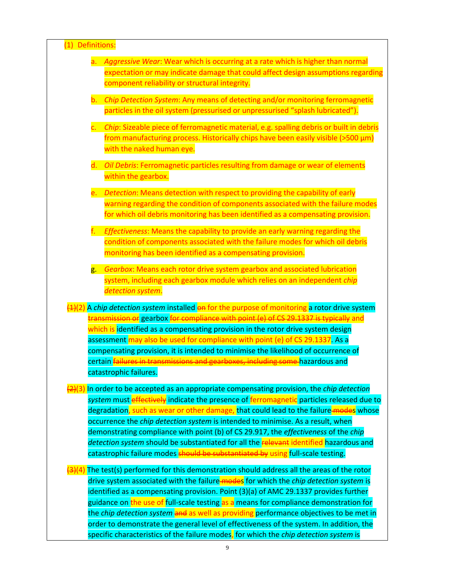| (1) Definitions: |                                                                                                                                                                   |
|------------------|-------------------------------------------------------------------------------------------------------------------------------------------------------------------|
| a.               | Aggressive Wear: Wear which is occurring at a rate which is higher than normal                                                                                    |
|                  | expectation or may indicate damage that could affect design assumptions regarding                                                                                 |
|                  | component reliability or structural integrity.                                                                                                                    |
| b.               | Chip Detection System: Any means of detecting and/or monitoring ferromagnetic                                                                                     |
|                  | particles in the oil system (pressurised or unpressurised "splash lubricated").                                                                                   |
| $\mathsf{c}$ .   | Chip: Sizeable piece of ferromagnetic material, e.g. spalling debris or built in debris                                                                           |
|                  | from manufacturing process. Historically chips have been easily visible (>500 µm)                                                                                 |
|                  | with the naked human eye.                                                                                                                                         |
|                  | d. Oil Debris: Ferromagnetic particles resulting from damage or wear of elements                                                                                  |
|                  | within the gearbox.                                                                                                                                               |
| e.               | Detection: Means detection with respect to providing the capability of early                                                                                      |
|                  | warning regarding the condition of components associated with the failure modes                                                                                   |
|                  | for which oil debris monitoring has been identified as a compensating provision.                                                                                  |
| f.               | Effectiveness: Means the capability to provide an early warning regarding the                                                                                     |
|                  | condition of components associated with the failure modes for which oil debris                                                                                    |
|                  | monitoring has been identified as a compensating provision.                                                                                                       |
| g.               | Gearbox: Means each rotor drive system gearbox and associated lubrication                                                                                         |
|                  | system, including each gearbox module which relies on an independent chip                                                                                         |
|                  | detection system.                                                                                                                                                 |
|                  | $\frac{1}{2}(2)$ A chip detection system installed on for the purpose of monitoring a rotor drive system                                                          |
|                  | <del>transmission or</del> gearbox <mark>for compliance with point (e) of CS 29.1337 is typically</mark> and                                                      |
|                  | which is identified as a compensating provision in the rotor drive system design<br>assessment may also be used for compliance with point (e) of CS 29.1337. As a |
|                  | compensating provision, it is intended to minimise the likelihood of occurrence of                                                                                |
|                  | certain <i>failures in transmissions and gearboxes, including some hazardous and</i>                                                                              |
|                  | catastrophic failures.                                                                                                                                            |
|                  | $\frac{1}{2}(3)$ In order to be accepted as an appropriate compensating provision, the <i>chip detection</i>                                                      |
|                  | system must effectively indicate the presence of ferromagnetic particles released due to                                                                          |
|                  | degradation, such as wear or other damage, that could lead to the failure-modes whose                                                                             |
|                  | occurrence the chip detection system is intended to minimise. As a result, when                                                                                   |
|                  | demonstrating compliance with point (b) of CS 29.917, the effectiveness of the chip                                                                               |
|                  | detection system should be substantiated for all the relevant identified hazardous and                                                                            |
|                  | catastrophic failure modes should be substantiated by using full-scale testing.                                                                                   |
|                  | $\frac{1}{2}(4)$ The test(s) performed for this demonstration should address all the areas of the rotor                                                           |
|                  | drive system associated with the failure-modes for which the chip detection system is                                                                             |
|                  | identified as a compensating provision. Point (3)(a) of AMC 29.1337 provides further                                                                              |
|                  | guidance on the use of full-scale testing as a means for compliance demonstration for                                                                             |
|                  | the <i>chip detection system</i> and as well as providing performance objectives to be met in                                                                     |
|                  | order to demonstrate the general level of effectiveness of the system. In addition, the                                                                           |

specific characteristics of the failure modes, for which the *chip detection system* is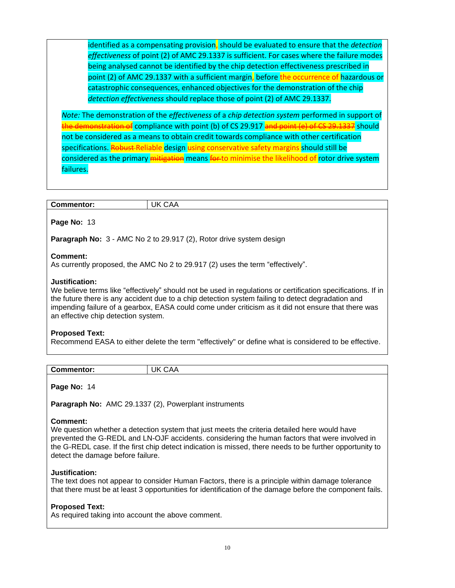identified as a compensating provision, should be evaluated to ensure that the *detection effectiveness* of point (2) of AMC 29.1337 is sufficient. For cases where the failure modes being analysed cannot be identified by the chip detection effectiveness prescribed in point (2) of AMC 29.1337 with a sufficient margin, before the occurrence of hazardous or catastrophic consequences, enhanced objectives for the demonstration of the chip *detection effectiveness* should replace those of point (2) of AMC 29.1337.

*Note:* The demonstration of the *effectiveness* of a *chip detection system* performed in support of lemonstration of compliance with point (b) of CS 29.917 and point (e) of CS 29.1337 should not be considered as a means to obtain credit towards compliance with other certification specifications. Robust-Reliable design using conservative safety margins should still be considered as the primary **mitigation** means **for** to minimise the likelihood of rotor drive system failures.

#### **Page No:** 13

**Paragraph No:** 3 - AMC No 2 to 29.917 (2), Rotor drive system design

#### **Comment:**

As currently proposed, the AMC No 2 to 29.917 (2) uses the term "effectively".

#### **Justification:**

We believe terms like "effectively" should not be used in regulations or certification specifications. If in the future there is any accident due to a chip detection system failing to detect degradation and impending failure of a gearbox, EASA could come under criticism as it did not ensure that there was an effective chip detection system.

#### **Proposed Text:**

Recommend EASA to either delete the term "effectively" or define what is considered to be effective.

| <b>Commentor:</b> | Ιk<br>∩∆∆<br>◡₼₼ |
|-------------------|------------------|
|                   |                  |

**Page No:** 14

**Paragraph No:** AMC 29.1337 (2), Powerplant instruments

#### **Comment:**

We question whether a detection system that just meets the criteria detailed here would have prevented the G-REDL and LN-OJF accidents. considering the human factors that were involved in the G-REDL case. If the first chip detect indication is missed, there needs to be further opportunity to detect the damage before failure.

#### **Justification:**

The text does not appear to consider Human Factors, there is a principle within damage tolerance that there must be at least 3 opportunities for identification of the damage before the component fails.

#### **Proposed Text:**

As required taking into account the above comment.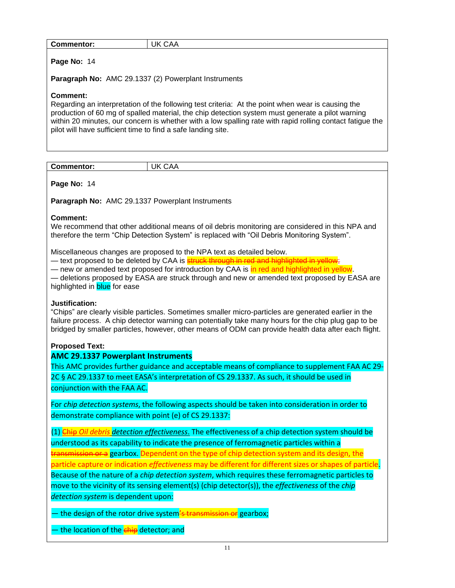| Commentor:                                                               | UK CAA                                                                                                                                                                                                                                                                                                             |
|--------------------------------------------------------------------------|--------------------------------------------------------------------------------------------------------------------------------------------------------------------------------------------------------------------------------------------------------------------------------------------------------------------|
| Page No: 14                                                              |                                                                                                                                                                                                                                                                                                                    |
| Paragraph No: AMC 29.1337 (2) Powerplant Instruments                     |                                                                                                                                                                                                                                                                                                                    |
| Comment:<br>pilot will have sufficient time to find a safe landing site. | Regarding an interpretation of the following test criteria: At the point when wear is causing the<br>production of 60 mg of spalled material, the chip detection system must generate a pilot warning<br>within 20 minutes, our concern is whether with a low spalling rate with rapid rolling contact fatigue the |

|--|

**Page No:** 14

**Paragraph No:** AMC 29.1337 Powerplant Instruments

## **Comment:**

We recommend that other additional means of oil debris monitoring are considered in this NPA and therefore the term "Chip Detection System" is replaced with "Oil Debris Monitoring System".

Miscellaneous changes are proposed to the NPA text as detailed below.

— text proposed to be deleted by CAA is **struck through in red and highlighted in yellow** 

— new or amended text proposed for introduction by CAA is in red and highlighted in yellow.

— deletions proposed by EASA are struck through and new or amended text proposed by EASA are highlighted in **blue** for ease

## **Justification:**

"Chips" are clearly visible particles. Sometimes smaller micro-particles are generated earlier in the failure process. A chip detector warning can potentially take many hours for the chip plug gap to be bridged by smaller particles, however, other means of ODM can provide health data after each flight.

## **Proposed Text:**

## **AMC 29.1337 Powerplant Instruments**

This AMC provides further guidance and acceptable means of compliance to supplement FAA AC 29- 2C § AC 29.1337 to meet EASA's interpretation of CS 29.1337. As such, it should be used in conjunction with the FAA AC.

For *chip detection systems*, the following aspects should be taken into consideration in order to demonstrate compliance with point (e) of CS 29.1337:

(1) Chip *Oil debris detection effectiveness*. The effectiveness of a chip detection system should be understood as its capability to indicate the presence of ferromagnetic particles within a tansmission or a gearbox. Dependent on the type of chip detection system and its design, the particle capture or indication *effectiveness* may be different for different sizes or shapes of particle. Because of the nature of a *chip detection system*, which requires these ferromagnetic particles to move to the vicinity of its sensing element(s) (chip detector(s)), the *effectiveness* of the *chip detection system* is dependent upon:

— the design of the rotor drive system's transmission or gearbox;

— the location of the **chip** detector; and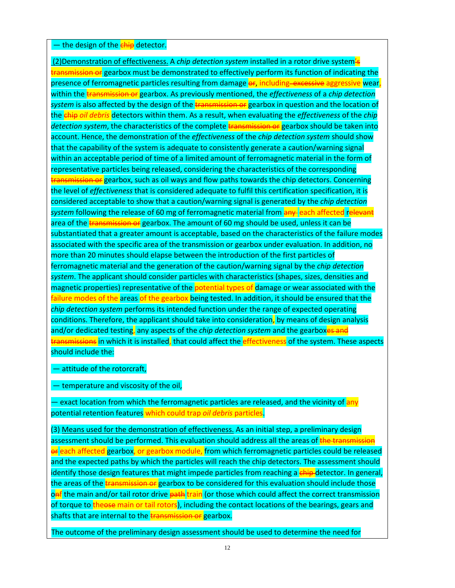#### — the design of the **chip** detector.

(2)Demonstration of effectiveness. A *chip detection system* installed in a rotor drive system's transmission or gearbox must be demonstrated to effectively perform its function of indicating the presence of ferromagnetic particles resulting from damage or, including excessive aggressive wear, within the transmission or gearbox. As previously mentioned, the *effectiveness* of a *chip detection* system is also affected by the design of the transmission or gearbox in question and the location of the chip *oil debris* detectors within them. As a result, when evaluating the *effectiveness* of the *chip*  detection system, the characteristics of the complete transmission or gearbox should be taken into account. Hence, the demonstration of the *effectiveness* of the *chip detection system* should show that the capability of the system is adequate to consistently generate a caution/warning signal within an acceptable period of time of a limited amount of ferromagnetic material in the form of representative particles being released, considering the characteristics of the corresponding transmission or gearbox, such as oil ways and flow paths towards the chip detectors. Concerning the level of *effectiveness* that is considered adequate to fulfil this certification specification, it is considered acceptable to show that a caution/warning signal is generated by the *chip detection*  system following the release of 60 mg of ferromagnetic material from **any** each affected relevant area of the transmission or gearbox. The amount of 60 mg should be used, unless it can be substantiated that a greater amount is acceptable, based on the characteristics of the failure modes associated with the specific area of the transmission or gearbox under evaluation. In addition, no more than 20 minutes should elapse between the introduction of the first particles of ferromagnetic material and the generation of the caution/warning signal by the *chip detection system*. The applicant should consider particles with characteristics (shapes, sizes, densities and magnetic properties) representative of the potential types of damage or wear associated with the failure modes of the areas of the gearbox being tested. In addition, it should be ensured that the *chip detection system* performs its intended function under the range of expected operating conditions. Therefore, the applicant should take into consideration, by means of design analysis and/or dedicated testing, any aspects of the *chip detection system* and the gearboxes and transmissions in which it is installed, that could affect the effectiveness of the system. These aspects should include the:

— attitude of the rotorcraft,

— temperature and viscosity of the oil,

— exact location from which the ferromagnetic particles are released, and the vicinity of any potential retention features which could trap *oil debris* particles.

(3) Means used for the demonstration of effectiveness. As an initial step, a preliminary design assessment should be performed. This evaluation should address all the areas of the transmission or each affected gearbox, or gearbox module, from which ferromagnetic particles could be released and the expected paths by which the particles will reach the chip detectors. The assessment should identify those design features that might impede particles from reaching a chip detector. In general, the areas of the **transmission or** gearbox to be considered for this evaluation should include those onf the main and/or tail rotor drive path train (or those which could affect the correct transmission of torque to theose main or tail rotors), including the contact locations of the bearings, gears and shafts that are internal to the **transmission or** gearbox.

The outcome of the preliminary design assessment should be used to determine the need for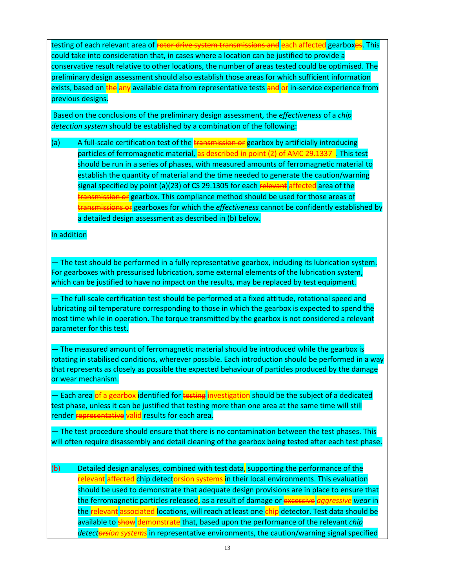testing of each relevant area of <del>rotor drive system transmissions and</del> each affected gearboxes. This could take into consideration that, in cases where a location can be justified to provide a conservative result relative to other locations, the number of areas tested could be optimised. The preliminary design assessment should also establish those areas for which sufficient information exists, based on the any available data from representative tests and or in-service experience from previous designs.

Based on the conclusions of the preliminary design assessment, the *effectiveness* of a *chip detection system* should be established by a combination of the following:

(a) A full-scale certification test of the **transmission or** gearbox by artificially introducing particles of ferromagnetic material, as described in point (2) of AMC 29.1337 . This test should be run in a series of phases, with measured amounts of ferromagnetic material to establish the quantity of material and the time needed to generate the caution/warning signal specified by point (a)(23) of CS 29.1305 for each relevant affected area of the tansmission or gearbox. This compliance method should be used for those areas of transmissions or gearboxes for which the *effectiveness* cannot be confidently established by a detailed design assessment as described in (b) below.

## In addition

— The test should be performed in a fully representative gearbox, including its lubrication system. For gearboxes with pressurised lubrication, some external elements of the lubrication system, which can be justified to have no impact on the results, may be replaced by test equipment.

— The full-scale certification test should be performed at a fixed attitude, rotational speed and lubricating oil temperature corresponding to those in which the gearbox is expected to spend the most time while in operation. The torque transmitted by the gearbox is not considered a relevant parameter for this test.

— The measured amount of ferromagnetic material should be introduced while the gearbox is rotating in stabilised conditions, wherever possible. Each introduction should be performed in a way that represents as closely as possible the expected behaviour of particles produced by the damage or wear mechanism.

— Each area <mark>of a gearbox identified for <del>testing</del> investigation</mark> should be the subject of a dedicated test phase, unless it can be justified that testing more than one area at the same time will still render **representative** valid results for each area.

— The test procedure should ensure that there is no contamination between the test phases. This will often require disassembly and detail cleaning of the gearbox being tested after each test phase.

(b) Detailed design analyses, combined with test data, supporting the performance of the relevant affected chip detectorsion systems in their local environments. This evaluation should be used to demonstrate that adequate design provisions are in place to ensure that the ferromagnetic particles released, as a result of damage or excessive *aggressive wear* in the relevant associated locations, will reach at least one chip detector. Test data should be available to show demonstrate that, based upon the performance of the relevant *chip detectorsion systems* in representative environments, the caution/warning signal specified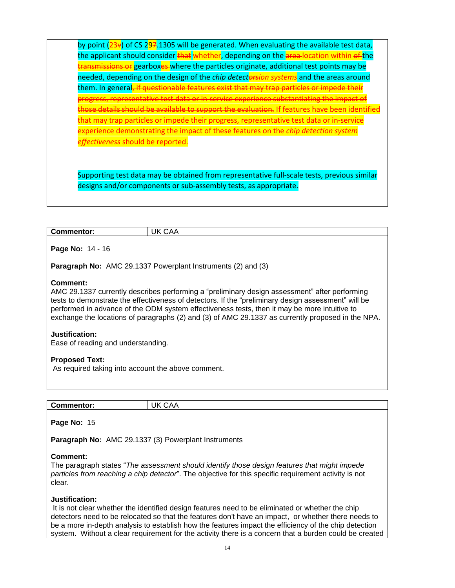by point  $(23x)$  of CS 297.1305 will be generated. When evaluating the available test data, the applicant should consider  $\frac{1}{k}$  whether, depending on the area-location within of the nsmissions or gearboxes where the particles originate, additional test points may be needed, depending on the design of the *chip detectorsion systems* and the areas around them. In general<del>, if</del> progress, representative test data or in-service experience substantiating the impact of e details should be available to support the evaluation. If features have been identified that may trap particles or impede their progress, representative test data or in-service experience demonstrating the impact of these features on the *chip detection system effectiveness* should be reported.

Supporting test data may be obtained from representative full-scale tests, previous similar designs and/or components or sub-assembly tests, as appropriate.

| <b>Commentor:</b> | UK<br>$\overline{\phantom{0}}$<br>^ ^<br><b>UAA</b> |
|-------------------|-----------------------------------------------------|
|-------------------|-----------------------------------------------------|

**Page No:** 14 - 16

**Paragraph No:** AMC 29.1337 Powerplant Instruments (2) and (3)

#### **Comment:**

AMC 29.1337 currently describes performing a "preliminary design assessment" after performing tests to demonstrate the effectiveness of detectors. If the "preliminary design assessment" will be performed in advance of the ODM system effectiveness tests, then it may be more intuitive to exchange the locations of paragraphs (2) and (3) of AMC 29.1337 as currently proposed in the NPA.

#### **Justification:**

Ease of reading and understanding.

#### **Proposed Text:**

As required taking into account the above comment.

| <b>Commentor:</b> | Jk<br>$\Lambda$<br>$\cdot$ |
|-------------------|----------------------------|
|                   |                            |

**Page No:** 15

**Paragraph No:** AMC 29.1337 (3) Powerplant Instruments

#### **Comment:**

The paragraph states "*The assessment should identify those design features that might impede particles from reaching a chip detector*". The objective for this specific requirement activity is not clear.

#### **Justification:**

It is not clear whether the identified design features need to be eliminated or whether the chip detectors need to be relocated so that the features don't have an impact, or whether there needs to be a more in-depth analysis to establish how the features impact the efficiency of the chip detection system. Without a clear requirement for the activity there is a concern that a burden could be created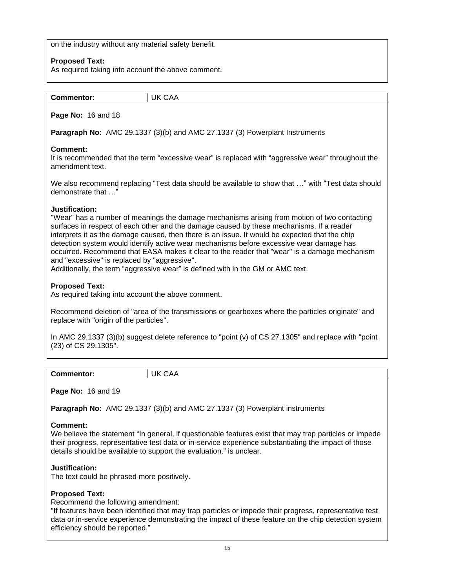on the industry without any material safety benefit.

## **Proposed Text:**

As required taking into account the above comment.

| $\overline{\phantom{a}}$ |  |
|--------------------------|--|
| CAA<br><b>Commentor:</b> |  |

**Page No:** 16 and 18

**Paragraph No:** AMC 29.1337 (3)(b) and AMC 27.1337 (3) Powerplant Instruments

## **Comment:**

It is recommended that the term "excessive wear" is replaced with "aggressive wear" throughout the amendment text.

We also recommend replacing "Test data should be available to show that …" with "Test data should demonstrate that …"

## **Justification:**

"Wear" has a number of meanings the damage mechanisms arising from motion of two contacting surfaces in respect of each other and the damage caused by these mechanisms. If a reader interprets it as the damage caused, then there is an issue. It would be expected that the chip detection system would identify active wear mechanisms before excessive wear damage has occurred. Recommend that EASA makes it clear to the reader that "wear" is a damage mechanism and "excessive" is replaced by "aggressive".

Additionally, the term "aggressive wear" is defined with in the GM or AMC text.

## **Proposed Text:**

As required taking into account the above comment.

Recommend deletion of "area of the transmissions or gearboxes where the particles originate" and replace with "origin of the particles".

In AMC 29.1337 (3)(b) suggest delete reference to "point (v) of CS 27.1305" and replace with "point (23) of CS 29.1305".

| <b>Commentor:</b> | Ik<br>$\mathbf{v}$<br>◡◠◠ |
|-------------------|---------------------------|

#### **Page No:** 16 and 19

**Paragraph No:** AMC 29.1337 (3)(b) and AMC 27.1337 (3) Powerplant instruments

#### **Comment:**

We believe the statement "In general, if questionable features exist that may trap particles or impede their progress, representative test data or in-service experience substantiating the impact of those details should be available to support the evaluation." is unclear.

## **Justification:**

The text could be phrased more positively.

## **Proposed Text:**

Recommend the following amendment:

"If features have been identified that may trap particles or impede their progress, representative test data or in-service experience demonstrating the impact of these feature on the chip detection system efficiency should be reported."